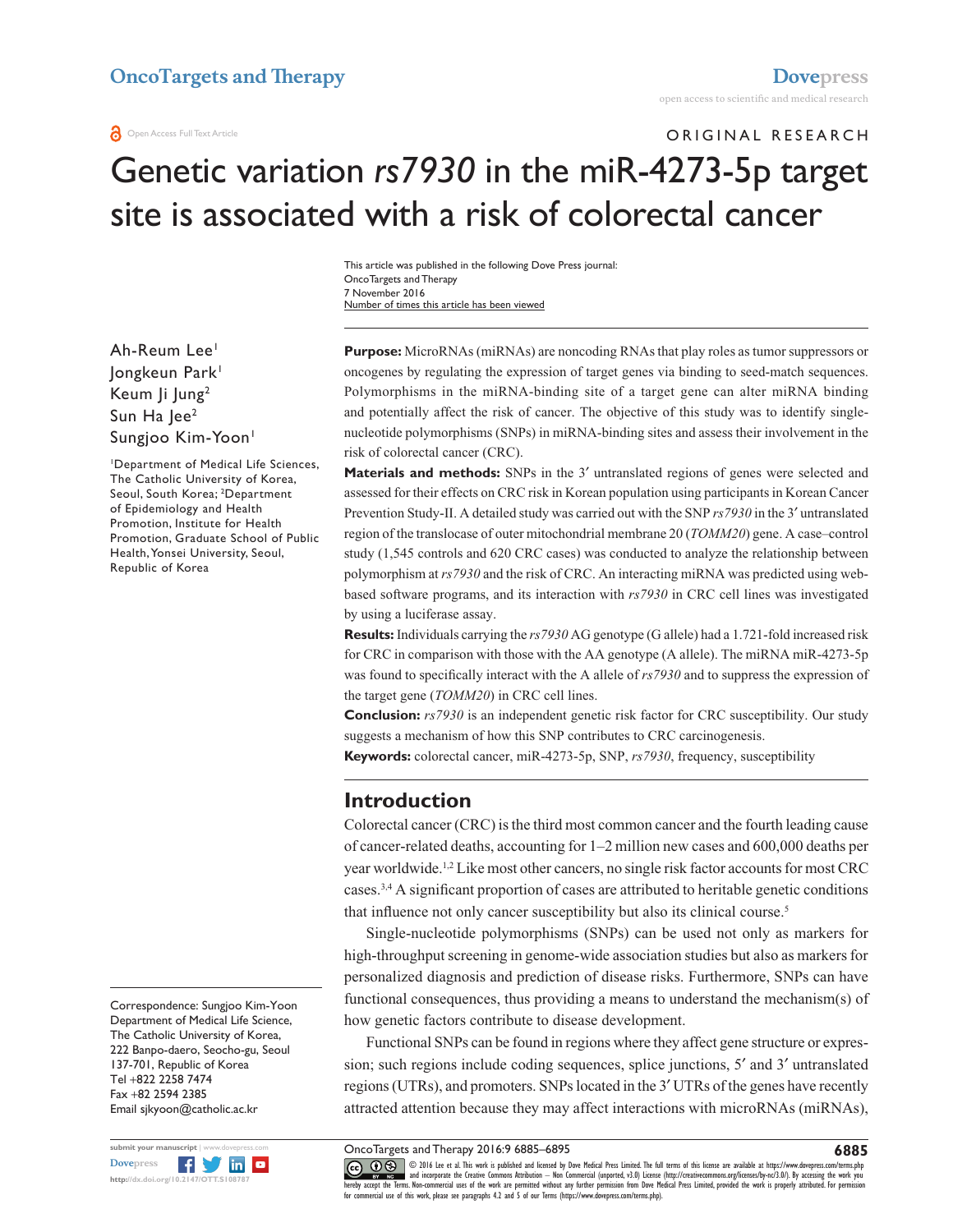# ORIGINAL RESEARCH Genetic variation *rs7930* in the miR-4273-5p target site is associated with a risk of colorectal cancer

Number of times this article has been viewed This article was published in the following Dove Press journal: OncoTargets and Therapy 7 November 2016

Ah-Reum Lee1 Jongkeun Park1 Keum Ji Jung2 Sun Ha Jee<sup>2</sup> Sungjoo Kim-Yoon<sup>1</sup>

1 Department of Medical Life Sciences, The Catholic University of Korea, Seoul, South Korea; <sup>2</sup>Department of Epidemiology and Health Promotion, Institute for Health Promotion, Graduate School of Public Health, Yonsei University, Seoul, Republic of Korea

Correspondence: Sungjoo Kim-Yoon Department of Medical Life Science, The Catholic University of Korea, 222 Banpo-daero, Seocho-gu, Seoul 137-701, Republic of Korea Tel +822 2258 7474 Fax +82 2594 2385 Email [sjkyoon@catholic.ac.kr](mailto:sjkyoon@catholic.ac.kr)



**Purpose:** MicroRNAs (miRNAs) are noncoding RNAs that play roles as tumor suppressors or oncogenes by regulating the expression of target genes via binding to seed-match sequences. Polymorphisms in the miRNA-binding site of a target gene can alter miRNA binding and potentially affect the risk of cancer. The objective of this study was to identify singlenucleotide polymorphisms (SNPs) in miRNA-binding sites and assess their involvement in the risk of colorectal cancer (CRC).

**Materials and methods:** SNPs in the 3' untranslated regions of genes were selected and assessed for their effects on CRC risk in Korean population using participants in Korean Cancer Prevention Study-II. A detailed study was carried out with the SNP *rs7930* in the 3′ untranslated region of the translocase of outer mitochondrial membrane 20 (*TOMM20*) gene. A case–control study (1,545 controls and 620 CRC cases) was conducted to analyze the relationship between polymorphism at *rs7930* and the risk of CRC. An interacting miRNA was predicted using webbased software programs, and its interaction with *rs7930* in CRC cell lines was investigated by using a luciferase assay.

**Results:** Individuals carrying the *rs7930* AG genotype (G allele) had a 1.721-fold increased risk for CRC in comparison with those with the AA genotype (A allele). The miRNA miR-4273-5p was found to specifically interact with the A allele of *rs7930* and to suppress the expression of the target gene (*TOMM20*) in CRC cell lines.

**Conclusion:**  $rs7930$  is an independent genetic risk factor for CRC susceptibility. Our study suggests a mechanism of how this SNP contributes to CRC carcinogenesis.

**Keywords:** colorectal cancer, miR-4273-5p, SNP, *rs7930*, frequency, susceptibility

#### **Introduction**

Colorectal cancer (CRC) is the third most common cancer and the fourth leading cause of cancer-related deaths, accounting for 1–2 million new cases and 600,000 deaths per year worldwide.1,2 Like most other cancers, no single risk factor accounts for most CRC cases.3,4 A significant proportion of cases are attributed to heritable genetic conditions that influence not only cancer susceptibility but also its clinical course.5

Single-nucleotide polymorphisms (SNPs) can be used not only as markers for high-throughput screening in genome-wide association studies but also as markers for personalized diagnosis and prediction of disease risks. Furthermore, SNPs can have functional consequences, thus providing a means to understand the mechanism(s) of how genetic factors contribute to disease development.

Functional SNPs can be found in regions where they affect gene structure or expression; such regions include coding sequences, splice junctions, 5′ and 3′ untranslated regions (UTRs), and promoters. SNPs located in the 3′ UTRs of the genes have recently attracted attention because they may affect interactions with microRNAs (miRNAs),

OncoTargets and Therapy 2016:9 6885–6895

CCC 1 © 2016 Lee et al. This work is published and licensed by Dove Medical Press Limited. The full terms of this license are available at <https://www.dovepress.com/terms.php><br>[hereby accept the Terms](http://www.dovepress.com/permissions.php). Non-commercial uses of

**6885**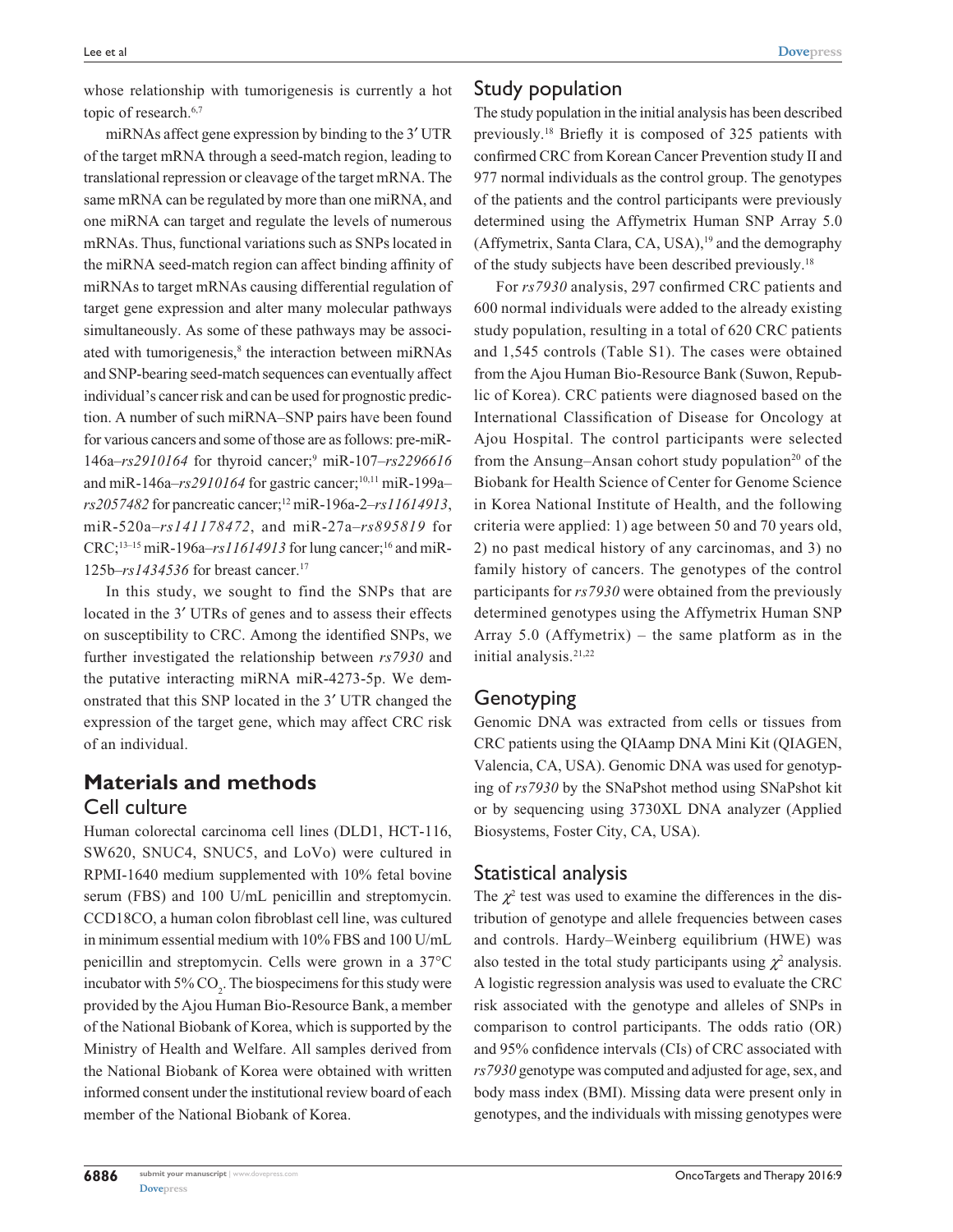whose relationship with tumorigenesis is currently a hot topic of research.<sup>6,7</sup>

miRNAs affect gene expression by binding to the 3′ UTR of the target mRNA through a seed-match region, leading to translational repression or cleavage of the target mRNA. The same mRNA can be regulated by more than one miRNA, and one miRNA can target and regulate the levels of numerous mRNAs. Thus, functional variations such as SNPs located in the miRNA seed-match region can affect binding affinity of miRNAs to target mRNAs causing differential regulation of target gene expression and alter many molecular pathways simultaneously. As some of these pathways may be associated with tumorigenesis,<sup>8</sup> the interaction between miRNAs and SNP-bearing seed-match sequences can eventually affect individual's cancer risk and can be used for prognostic prediction. A number of such miRNA–SNP pairs have been found for various cancers and some of those are as follows: pre-miR-146a–*rs2910164* for thyroid cancer;9 miR-107–*rs2296616* and miR-146a–*rs2910164* for gastric cancer;<sup>10,11</sup> miR-199a– *rs2057482* for pancreatic cancer;12 miR-196a-2–*rs11614913*, miR-520a–*rs141178472*, and miR-27a–*rs895819* for CRC;<sup>13-15</sup> miR-196a– $rs11614913$  for lung cancer;<sup>16</sup> and miR-125b–*rs1434536* for breast cancer.17

In this study, we sought to find the SNPs that are located in the 3′ UTRs of genes and to assess their effects on susceptibility to CRC. Among the identified SNPs, we further investigated the relationship between *rs7930* and the putative interacting miRNA miR-4273-5p. We demonstrated that this SNP located in the 3′ UTR changed the expression of the target gene, which may affect CRC risk of an individual.

# **Materials and methods** Cell culture

Human colorectal carcinoma cell lines (DLD1, HCT-116, SW620, SNUC4, SNUC5, and LoVo) were cultured in RPMI-1640 medium supplemented with 10% fetal bovine serum (FBS) and 100 U/mL penicillin and streptomycin. CCD18CO, a human colon fibroblast cell line, was cultured in minimum essential medium with 10% FBS and 100 U/mL penicillin and streptomycin. Cells were grown in a 37°C incubator with  $5\%$  CO<sub>2</sub>. The biospecimens for this study were provided by the Ajou Human Bio-Resource Bank, a member of the National Biobank of Korea, which is supported by the Ministry of Health and Welfare. All samples derived from the National Biobank of Korea were obtained with written informed consent under the institutional review board of each member of the National Biobank of Korea.

## Study population

The study population in the initial analysis has been described previously.18 Briefly it is composed of 325 patients with confirmed CRC from Korean Cancer Prevention study II and 977 normal individuals as the control group. The genotypes of the patients and the control participants were previously determined using the Affymetrix Human SNP Array 5.0 (Affymetrix, Santa Clara, CA, USA),<sup>19</sup> and the demography of the study subjects have been described previously.18

For *rs7930* analysis, 297 confirmed CRC patients and 600 normal individuals were added to the already existing study population, resulting in a total of 620 CRC patients and 1,545 controls (Table S1). The cases were obtained from the Ajou Human Bio-Resource Bank (Suwon, Republic of Korea). CRC patients were diagnosed based on the International Classification of Disease for Oncology at Ajou Hospital. The control participants were selected from the Ansung–Ansan cohort study population $20$  of the Biobank for Health Science of Center for Genome Science in Korea National Institute of Health, and the following criteria were applied: 1) age between 50 and 70 years old, 2) no past medical history of any carcinomas, and 3) no family history of cancers. The genotypes of the control participants for *rs7930* were obtained from the previously determined genotypes using the Affymetrix Human SNP Array 5.0 (Affymetrix) – the same platform as in the initial analysis.<sup>21,22</sup>

### Genotyping

Genomic DNA was extracted from cells or tissues from CRC patients using the QIAamp DNA Mini Kit (QIAGEN, Valencia, CA, USA). Genomic DNA was used for genotyping of *rs7930* by the SNaPshot method using SNaPshot kit or by sequencing using 3730XL DNA analyzer (Applied Biosystems, Foster City, CA, USA).

### Statistical analysis

The  $\chi^2$  test was used to examine the differences in the distribution of genotype and allele frequencies between cases and controls. Hardy–Weinberg equilibrium (HWE) was also tested in the total study participants using  $\chi^2$  analysis. A logistic regression analysis was used to evaluate the CRC risk associated with the genotype and alleles of SNPs in comparison to control participants. The odds ratio (OR) and 95% confidence intervals (CIs) of CRC associated with *rs7930* genotype was computed and adjusted for age, sex, and body mass index (BMI). Missing data were present only in genotypes, and the individuals with missing genotypes were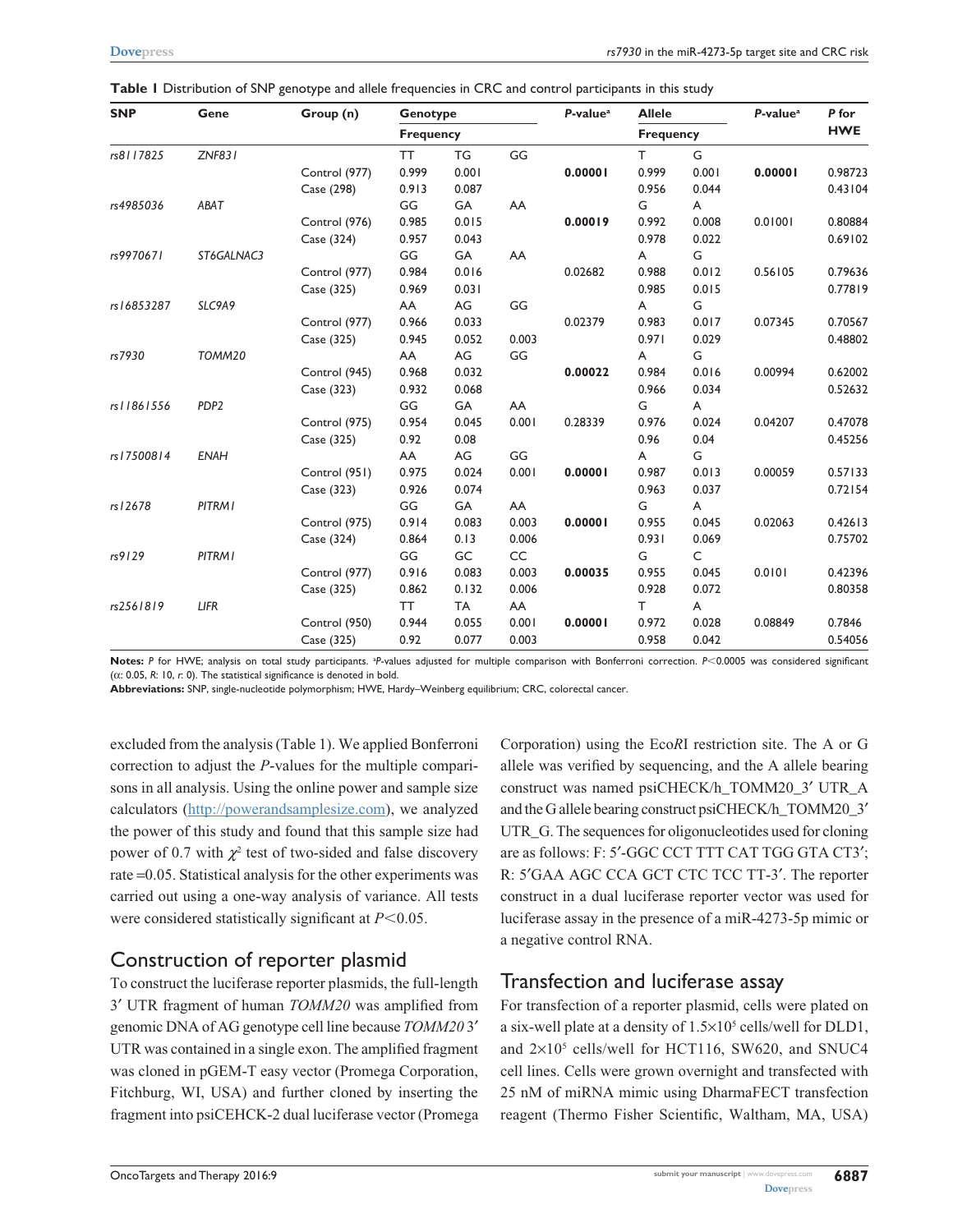| <b>SNP</b>   | Gene             |               | Group (n)        | Genotype |       | $P-valuea$ | <b>Allele</b>    |       | $P-valuea$ | P for<br><b>HWE</b> |
|--------------|------------------|---------------|------------------|----------|-------|------------|------------------|-------|------------|---------------------|
|              |                  |               | <b>Frequency</b> |          |       |            | <b>Frequency</b> |       |            |                     |
| rs8117825    |                  | <b>ZNF831</b> | <b>TT</b>        | TG       | GG    |            | T.               | G     |            |                     |
|              |                  | Control (977) | 0.999            | 0.001    |       | 0.00001    | 0.999            | 0.001 | 0.00001    | 0.98723             |
|              |                  | Case (298)    | 0.913            | 0.087    |       |            | 0.956            | 0.044 |            | 0.43104             |
| rs4985036    | ABAT             |               | GG               | GA       | AA    |            | G                | A     |            |                     |
|              |                  | Control (976) | 0.985            | 0.015    |       | 0.00019    | 0.992            | 0.008 | 0.01001    | 0.80884             |
|              |                  | Case (324)    | 0.957            | 0.043    |       |            | 0.978            | 0.022 |            | 0.69102             |
| rs9970671    | ST6GALNAC3       |               | GG               | GA       | AA    |            | A                | G     |            |                     |
|              |                  | Control (977) | 0.984            | 0.016    |       | 0.02682    | 0.988            | 0.012 | 0.56105    | 0.79636             |
|              |                  | Case (325)    | 0.969            | 0.031    |       |            | 0.985            | 0.015 |            | 0.77819             |
| rs16853287   | SLC9A9           |               | AA               | AG       | GG    |            | A                | G     |            |                     |
|              |                  | Control (977) | 0.966            | 0.033    |       | 0.02379    | 0.983            | 0.017 | 0.07345    | 0.70567             |
|              |                  | Case (325)    | 0.945            | 0.052    | 0.003 |            | 0.971            | 0.029 |            | 0.48802             |
| rs7930       | TOMM20           |               | AA               | AG       | GG    |            | A                | G     |            |                     |
|              |                  | Control (945) | 0.968            | 0.032    |       | 0.00022    | 0.984            | 0.016 | 0.00994    | 0.62002             |
|              |                  | Case (323)    | 0.932            | 0.068    |       |            | 0.966            | 0.034 |            | 0.52632             |
| rs   1861556 | PDP <sub>2</sub> |               | GG               | GA       | AA    |            | G                | A     |            |                     |
|              |                  | Control (975) | 0.954            | 0.045    | 0.001 | 0.28339    | 0.976            | 0.024 | 0.04207    | 0.47078             |
|              |                  | Case (325)    | 0.92             | 0.08     |       |            | 0.96             | 0.04  |            | 0.45256             |
| rs   7500814 | <b>ENAH</b>      |               | AA               | AG       | GG    |            | A                | G     |            |                     |
|              |                  | Control (951) | 0.975            | 0.024    | 0.001 | 0.00001    | 0.987            | 0.013 | 0.00059    | 0.57133             |
|              |                  | Case (323)    | 0.926            | 0.074    |       |            | 0.963            | 0.037 |            | 0.72154             |
| rs 12678     | PITRM I          |               | GG               | GA       | AA    |            | G                | A     |            |                     |
|              |                  | Control (975) | 0.914            | 0.083    | 0.003 | 0.00001    | 0.955            | 0.045 | 0.02063    | 0.42613             |
|              |                  | Case (324)    | 0.864            | 0.13     | 0.006 |            | 0.931            | 0.069 |            | 0.75702             |
| rs9129       | <b>PITRMI</b>    |               | GG               | GC       | CC    |            | G                | C     |            |                     |
|              |                  | Control (977) | 0.916            | 0.083    | 0.003 | 0.00035    | 0.955            | 0.045 | 0.0101     | 0.42396             |
|              |                  | Case (325)    | 0.862            | 0.132    | 0.006 |            | 0.928            | 0.072 |            | 0.80358             |
| rs2561819    | LIFR             |               | <b>TT</b>        | TA       | AA    |            | т                | A     |            |                     |
|              |                  | Control (950) | 0.944            | 0.055    | 0.001 | 0.00001    | 0.972            | 0.028 | 0.08849    | 0.7846              |
|              |                  | Case (325)    | 0.92             | 0.077    | 0.003 |            | 0.958            | 0.042 |            | 0.54056             |

**Table 1** Distribution of SNP genotype and allele frequencies in CRC and control participants in this study

Notes: P for HWE; analysis on total study participants. <sup>a</sup>P-values adjusted for multiple comparison with Bonferroni correction. P<0.0005 was considered significant (α: 0.05, *R*: 10, *r*: 0). The statistical significance is denoted in bold.

**Abbreviations:** SNP, single-nucleotide polymorphism; HWE, Hardy–Weinberg equilibrium; CRC, colorectal cancer.

excluded from the analysis (Table 1). We applied Bonferroni correction to adjust the *P*-values for the multiple comparisons in all analysis. Using the online power and sample size calculators ([http://powerandsamplesize.com\)](http://powerandsamplesize.com), we analyzed the power of this study and found that this sample size had power of 0.7 with  $\chi^2$  test of two-sided and false discovery rate =0.05. Statistical analysis for the other experiments was carried out using a one-way analysis of variance. All tests were considered statistically significant at  $P<0.05$ .

### Construction of reporter plasmid

To construct the luciferase reporter plasmids, the full-length 3′ UTR fragment of human *TOMM20* was amplified from genomic DNA of AG genotype cell line because *TOMM20* 3′ UTR was contained in a single exon. The amplified fragment was cloned in pGEM-T easy vector (Promega Corporation, Fitchburg, WI, USA) and further cloned by inserting the fragment into psiCEHCK-2 dual luciferase vector (Promega Corporation) using the Eco*R*I restriction site. The A or G allele was verified by sequencing, and the A allele bearing construct was named psiCHECK/h\_TOMM20\_3′ UTR\_A and the G allele bearing construct psiCHECK/h\_TOMM20\_3′ UTR\_G. The sequences for oligonucleotides used for cloning are as follows: F: 5′-GGC CCT TTT CAT TGG GTA CT3′; R: 5′GAA AGC CCA GCT CTC TCC TT-3′. The reporter construct in a dual luciferase reporter vector was used for luciferase assay in the presence of a miR-4273-5p mimic or a negative control RNA.

### Transfection and luciferase assay

For transfection of a reporter plasmid, cells were plated on a six-well plate at a density of  $1.5 \times 10^5$  cells/well for DLD1, and 2×105 cells/well for HCT116, SW620, and SNUC4 cell lines. Cells were grown overnight and transfected with 25 nM of miRNA mimic using DharmaFECT transfection reagent (Thermo Fisher Scientific, Waltham, MA, USA)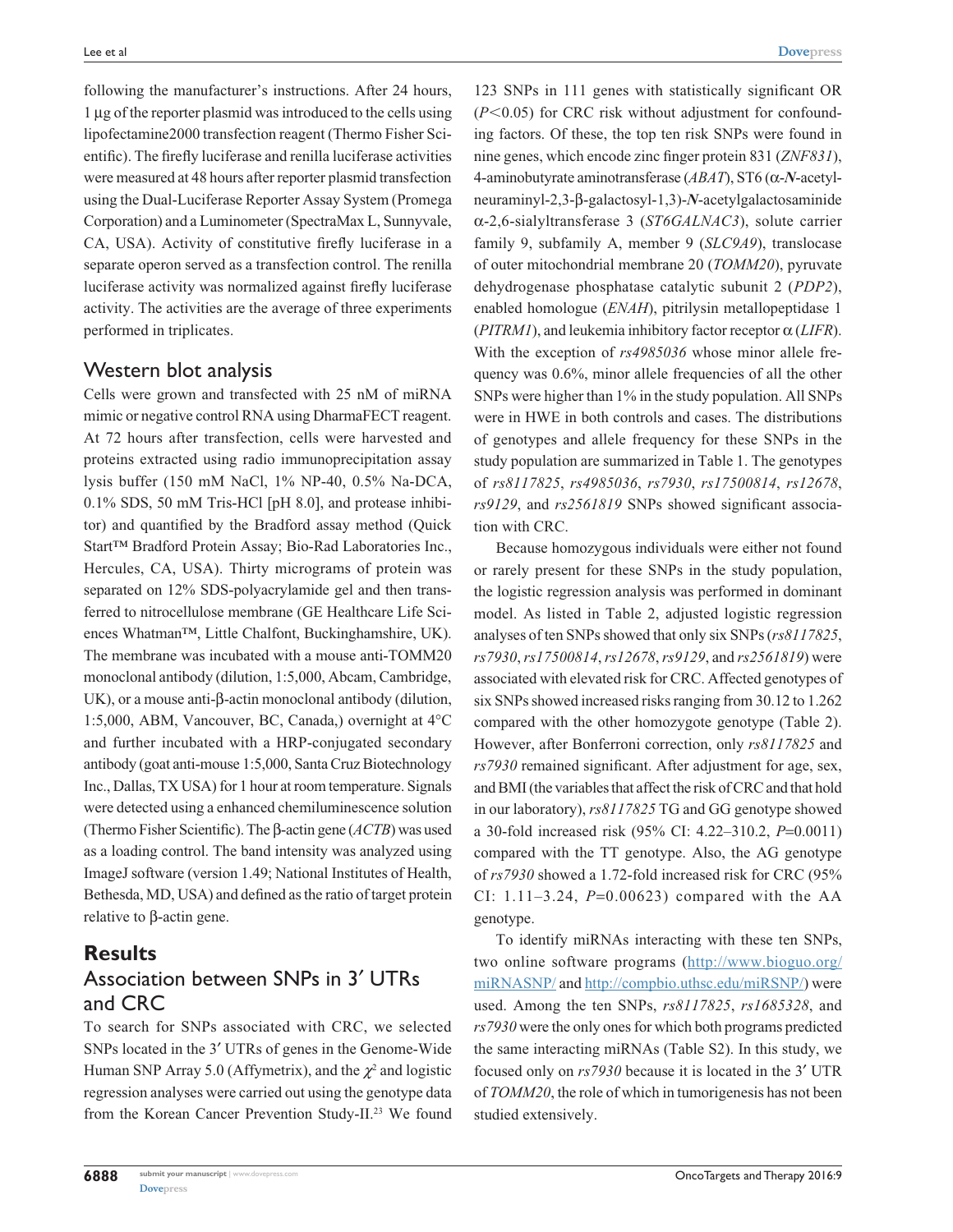following the manufacturer's instructions. After 24 hours, 1 μg of the reporter plasmid was introduced to the cells using lipofectamine2000 transfection reagent (Thermo Fisher Scientific). The firefly luciferase and renilla luciferase activities were measured at 48 hours after reporter plasmid transfection using the Dual-Luciferase Reporter Assay System (Promega Corporation) and a Luminometer (SpectraMax L, Sunnyvale, CA, USA). Activity of constitutive firefly luciferase in a separate operon served as a transfection control. The renilla luciferase activity was normalized against firefly luciferase activity. The activities are the average of three experiments performed in triplicates.

#### Western blot analysis

Cells were grown and transfected with 25 nM of miRNA mimic or negative control RNA using DharmaFECT reagent. At 72 hours after transfection, cells were harvested and proteins extracted using radio immunoprecipitation assay lysis buffer (150 mM NaCl, 1% NP-40, 0.5% Na-DCA, 0.1% SDS, 50 mM Tris-HCl [pH 8.0], and protease inhibitor) and quantified by the Bradford assay method (Quick Start™ Bradford Protein Assay; Bio-Rad Laboratories Inc., Hercules, CA, USA). Thirty micrograms of protein was separated on 12% SDS-polyacrylamide gel and then transferred to nitrocellulose membrane (GE Healthcare Life Sciences Whatman™, Little Chalfont, Buckinghamshire, UK). The membrane was incubated with a mouse anti-TOMM20 monoclonal antibody (dilution, 1:5,000, Abcam, Cambridge, UK), or a mouse anti-β-actin monoclonal antibody (dilution, 1:5,000, ABM, Vancouver, BC, Canada,) overnight at 4°C and further incubated with a HRP-conjugated secondary antibody (goat anti-mouse 1:5,000, Santa Cruz Biotechnology Inc., Dallas, TX USA) for 1 hour at room temperature. Signals were detected using a enhanced chemiluminescence solution (Thermo Fisher Scientific). The β-actin gene (*ACTB*) was used as a loading control. The band intensity was analyzed using ImageJ software (version 1.49; National Institutes of Health, Bethesda, MD, USA) and defined as the ratio of target protein relative to β-actin gene.

#### **Results** Association between SNPs in 3′ UTRs and CRC

To search for SNPs associated with CRC, we selected SNPs located in the 3′ UTRs of genes in the Genome-Wide Human SNP Array 5.0 (Affymetrix), and the  $\chi^2$  and logistic regression analyses were carried out using the genotype data from the Korean Cancer Prevention Study-II.<sup>23</sup> We found

123 SNPs in 111 genes with statistically significant OR  $(P<0.05)$  for CRC risk without adjustment for confounding factors. Of these, the top ten risk SNPs were found in nine genes, which encode zinc finger protein 831 (*ZNF831*), 4-aminobutyrate aminotransferase (*ABAT*), ST6 (α-*N*-acetylneuraminyl-2,3-β-galactosyl-1,3)-*N*-acetylgalactosaminide α-2,6-sialyltransferase 3 (*ST6GALNAC3*), solute carrier family 9, subfamily A, member 9 (*SLC9A9*), translocase of outer mitochondrial membrane 20 (*TOMM20*), pyruvate dehydrogenase phosphatase catalytic subunit 2 (*PDP2*), enabled homologue (*ENAH*), pitrilysin metallopeptidase 1 (*PITRM1*), and leukemia inhibitory factor receptor α (*LIFR*). With the exception of *rs4985036* whose minor allele frequency was 0.6%, minor allele frequencies of all the other SNPs were higher than 1% in the study population. All SNPs were in HWE in both controls and cases. The distributions of genotypes and allele frequency for these SNPs in the study population are summarized in Table 1. The genotypes of *rs8117825*, *rs4985036*, *rs7930*, *rs17500814*, *rs12678*, *rs9129*, and *rs2561819* SNPs showed significant association with CRC.

Because homozygous individuals were either not found or rarely present for these SNPs in the study population, the logistic regression analysis was performed in dominant model. As listed in Table 2, adjusted logistic regression analyses of ten SNPs showed that only six SNPs (*rs8117825*, *rs7930*, *rs17500814*, *rs12678*, *rs9129*, and *rs2561819*) were associated with elevated risk for CRC. Affected genotypes of six SNPs showed increased risks ranging from 30.12 to 1.262 compared with the other homozygote genotype (Table 2). However, after Bonferroni correction, only *rs8117825* and *rs7930* remained significant. After adjustment for age, sex, and BMI (the variables that affect the risk of CRC and that hold in our laboratory), *rs8117825* TG and GG genotype showed a 30-fold increased risk (95% CI: 4.22–310.2, *P*=0.0011) compared with the TT genotype. Also, the AG genotype of *rs7930* showed a 1.72-fold increased risk for CRC (95% CI: 1.11–3.24, *P*=0.00623) compared with the AA genotype.

To identify miRNAs interacting with these ten SNPs, two online software programs ([http://www.bioguo.org/](http://www.bioguo.org/miRNASNP/) [miRNASNP/](http://www.bioguo.org/miRNASNP/) and<http://compbio.uthsc.edu/miRSNP/>) were used. Among the ten SNPs, *rs8117825*, *rs1685328*, and *rs7930* were the only ones for which both programs predicted the same interacting miRNAs (Table S2). In this study, we focused only on *rs7930* because it is located in the 3′ UTR of *TOMM20*, the role of which in tumorigenesis has not been studied extensively.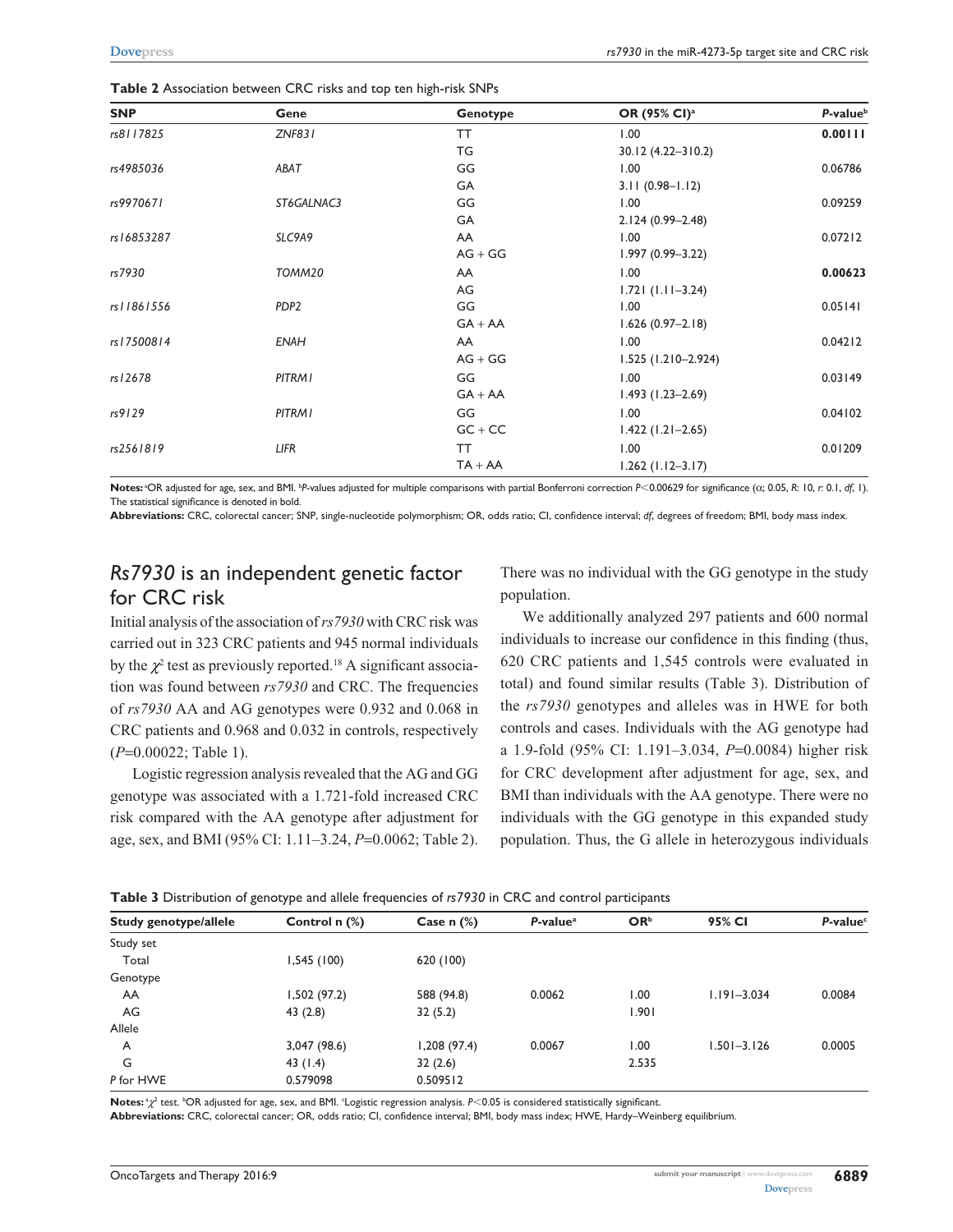| <b>SNP</b>   | Gene             | Genotype  | OR (95% CI) <sup>a</sup> | P-value <sup>b</sup> |
|--------------|------------------|-----------|--------------------------|----------------------|
| rs8117825    | <b>ZNF831</b>    | <b>TT</b> | 1.00                     | 0.00111              |
|              |                  | TG        | 30.12 (4.22-310.2)       |                      |
| rs4985036    | ABAT             | GG        | 1.00                     | 0.06786              |
|              |                  | GA        | $3.11(0.98 - 1.12)$      |                      |
| rs9970671    | ST6GALNAC3       | GG        | 1.00                     | 0.09259              |
|              |                  | GA        | 2.124 (0.99-2.48)        |                      |
| rs16853287   | SLC9A9           | AA        | 1.00                     | 0.07212              |
|              |                  | $AG + GG$ | $1.997(0.99 - 3.22)$     |                      |
| rs7930       | TOMM20           | AA        | 1.00                     | 0.00623              |
|              |                  | AG        | $1.721(1.11 - 3.24)$     |                      |
| rs   1861556 | PDP <sub>2</sub> | GG        | 1.00                     | 0.05141              |
|              |                  | $GA + AA$ | $1.626(0.97-2.18)$       |                      |
| rs17500814   | <b>ENAH</b>      | AA        | 1.00                     | 0.04212              |
|              |                  | $AG + GG$ | $1.525(1.210 - 2.924)$   |                      |
| rs12678      | <b>PITRMI</b>    | GG        | 00.1                     | 0.03149              |
|              |                  | $GA + AA$ | $1.493(1.23 - 2.69)$     |                      |
| rs9129       | <b>PITRMI</b>    | GG        | 1.00                     | 0.04102              |
|              |                  | $GC + CC$ | $1.422(1.21 - 2.65)$     |                      |
| rs2561819    | LIFR             | TT        | 00.1                     | 0.01209              |
|              |                  | $TA + AA$ | $1.262$ (1.12-3.17)      |                      |

**Table 2** Association between CRC risks and top ten high-risk SNPs

Notes: <sup>a</sup>OR adjusted for age, sex, and BMI. <sup>p</sup>P-values adjusted for multiple comparisons with partial Bonferroni correction *P<*0.00629 for significance (α; 0.05, *R*: 10, *r*: 0.1, *df*, 1). The statistical significance is denoted in bold.

**Abbreviations:** CRC, colorectal cancer; SNP, single-nucleotide polymorphism; OR, odds ratio; CI, confidence interval; *df*, degrees of freedom; BMI, body mass index.

# *Rs7930* is an independent genetic factor for CRC risk

Initial analysis of the association of *rs7930* with CRC risk was carried out in 323 CRC patients and 945 normal individuals by the  $\chi^2$  test as previously reported.<sup>18</sup> A significant association was found between *rs7930* and CRC. The frequencies of *rs7930* AA and AG genotypes were 0.932 and 0.068 in CRC patients and 0.968 and 0.032 in controls, respectively (*P*=0.00022; Table 1).

Logistic regression analysis revealed that the AG and GG genotype was associated with a 1.721-fold increased CRC risk compared with the AA genotype after adjustment for age, sex, and BMI (95% CI: 1.11–3.24, *P*=0.0062; Table 2).

There was no individual with the GG genotype in the study population.

We additionally analyzed 297 patients and 600 normal individuals to increase our confidence in this finding (thus, 620 CRC patients and 1,545 controls were evaluated in total) and found similar results (Table 3). Distribution of the *rs7930* genotypes and alleles was in HWE for both controls and cases. Individuals with the AG genotype had a 1.9-fold (95% CI: 1.191–3.034, *P*=0.0084) higher risk for CRC development after adjustment for age, sex, and BMI than individuals with the AA genotype. There were no individuals with the GG genotype in this expanded study population. Thus, the G allele in heterozygous individuals

| Table 3 Distribution of genotype and allele frequencies of rs7930 in CRC and control participants |  |  |  |  |  |  |
|---------------------------------------------------------------------------------------------------|--|--|--|--|--|--|
|---------------------------------------------------------------------------------------------------|--|--|--|--|--|--|

| Study genotype/allele | Control $n$ $%$ | Case $n$ $%$ | $P-valuea$ | OR <sup>b</sup> | 95% CI          | P-value <sup>c</sup> |
|-----------------------|-----------------|--------------|------------|-----------------|-----------------|----------------------|
| Study set             |                 |              |            |                 |                 |                      |
| Total                 | 1,545(100)      | 620 (100)    |            |                 |                 |                      |
| Genotype              |                 |              |            |                 |                 |                      |
| AA                    | 1,502 (97.2)    | 588 (94.8)   | 0.0062     | 1.00            | $1.191 - 3.034$ | 0.0084               |
| AG                    | 43 (2.8)        | 32(5.2)      |            | 1.901           |                 |                      |
| Allele                |                 |              |            |                 |                 |                      |
| A                     | 3,047 (98.6)    | 1,208(97.4)  | 0.0067     | 00.1            | $1.501 - 3.126$ | 0.0005               |
| G                     | 43 (1.4)        | 32(2.6)      |            | 2.535           |                 |                      |
| P for HWE             | 0.579098        | 0.509512     |            |                 |                 |                      |

Notes: <sup>a</sup>χ<sup>2</sup> test. <sup>b</sup>OR adjusted for age, sex, and BMI. <sup>c</sup>Logistic regression analysis. *P*<0.05 is considered statistically significant.

**Abbreviations:** CRC, colorectal cancer; OR, odds ratio; CI, confidence interval; BMI, body mass index; HWE, Hardy–Weinberg equilibrium.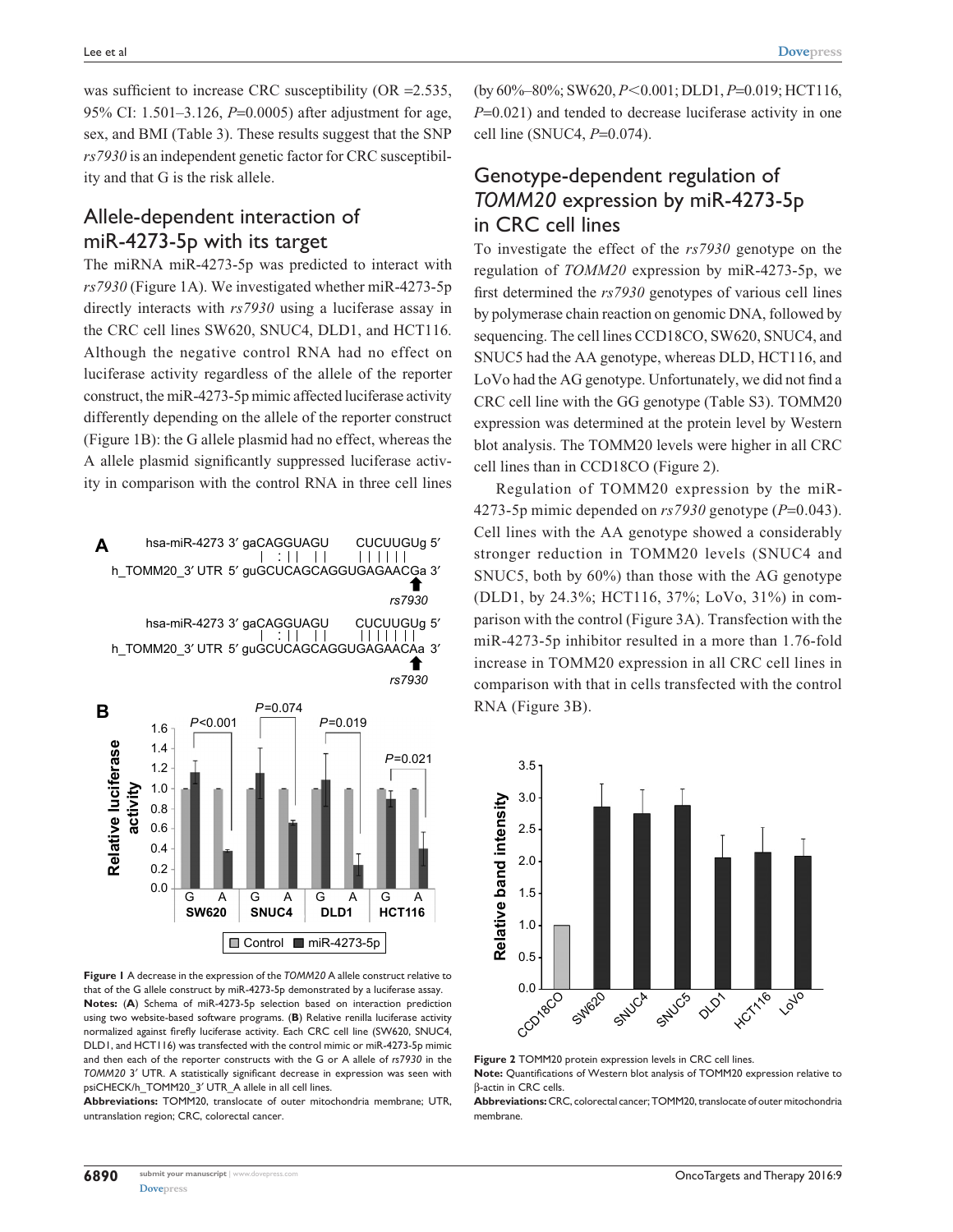was sufficient to increase CRC susceptibility (OR = 2.535, 95% CI: 1.501–3.126, *P*=0.0005) after adjustment for age, sex, and BMI (Table 3). These results suggest that the SNP *rs7930* is an independent genetic factor for CRC susceptibility and that G is the risk allele.

## Allele-dependent interaction of miR-4273-5p with its target

The miRNA miR-4273-5p was predicted to interact with *rs7930* (Figure 1A). We investigated whether miR-4273-5p directly interacts with *rs7930* using a luciferase assay in the CRC cell lines SW620, SNUC4, DLD1, and HCT116. Although the negative control RNA had no effect on luciferase activity regardless of the allele of the reporter construct, the miR-4273-5p mimic affected luciferase activity differently depending on the allele of the reporter construct (Figure 1B): the G allele plasmid had no effect, whereas the A allele plasmid significantly suppressed luciferase activity in comparison with the control RNA in three cell lines



**Figure 1** A decrease in the expression of the *TOMM20* A allele construct relative to that of the G allele construct by miR-4273-5p demonstrated by a luciferase assay. **Notes:** (**A**) Schema of miR-4273-5p selection based on interaction prediction using two website-based software programs. (**B**) Relative renilla luciferase activity normalized against firefly luciferase activity. Each CRC cell line (SW620, SNUC4, DLD1, and HCT116) was transfected with the control mimic or miR-4273-5p mimic and then each of the reporter constructs with the G or A allele of *rs7930* in the *TOMM20* 3′ UTR. A statistically significant decrease in expression was seen with psiCHECK/h\_TOMM20\_3′ UTR\_A allele in all cell lines.

**Abbreviations:** TOMM20, translocate of outer mitochondria membrane; UTR, untranslation region; CRC, colorectal cancer.

(by  $60\% - 80\%$ ; SW620,  $P < 0.001$ ; DLD1,  $P = 0.019$ ; HCT116, *P*=0.021) and tended to decrease luciferase activity in one cell line (SNUC4, *P*=0.074).

# Genotype-dependent regulation of *TOMM20* expression by miR-4273-5p in CRC cell lines

To investigate the effect of the *rs7930* genotype on the regulation of *TOMM20* expression by miR-4273-5p, we first determined the *rs7930* genotypes of various cell lines by polymerase chain reaction on genomic DNA, followed by sequencing. The cell lines CCD18CO, SW620, SNUC4, and SNUC5 had the AA genotype, whereas DLD, HCT116, and LoVo had the AG genotype. Unfortunately, we did not find a CRC cell line with the GG genotype (Table S3). TOMM20 expression was determined at the protein level by Western blot analysis. The TOMM20 levels were higher in all CRC cell lines than in CCD18CO (Figure 2).

Regulation of TOMM20 expression by the miR-4273-5p mimic depended on *rs7930* genotype (*P*=0.043). Cell lines with the AA genotype showed a considerably stronger reduction in TOMM20 levels (SNUC4 and SNUC5, both by 60%) than those with the AG genotype (DLD1, by 24.3%; HCT116, 37%; LoVo, 31%) in comparison with the control (Figure 3A). Transfection with the miR-4273-5p inhibitor resulted in a more than 1.76-fold increase in TOMM20 expression in all CRC cell lines in comparison with that in cells transfected with the control RNA (Figure 3B).



**Figure 2** TOMM20 protein expression levels in CRC cell lines. **Note:** Quantifications of Western blot analysis of TOMM20 expression relative to β-actin in CRC cells.

**6890**

**Abbreviations:** CRC, colorectal cancer; TOMM20, translocate of outer mitochondria membrane.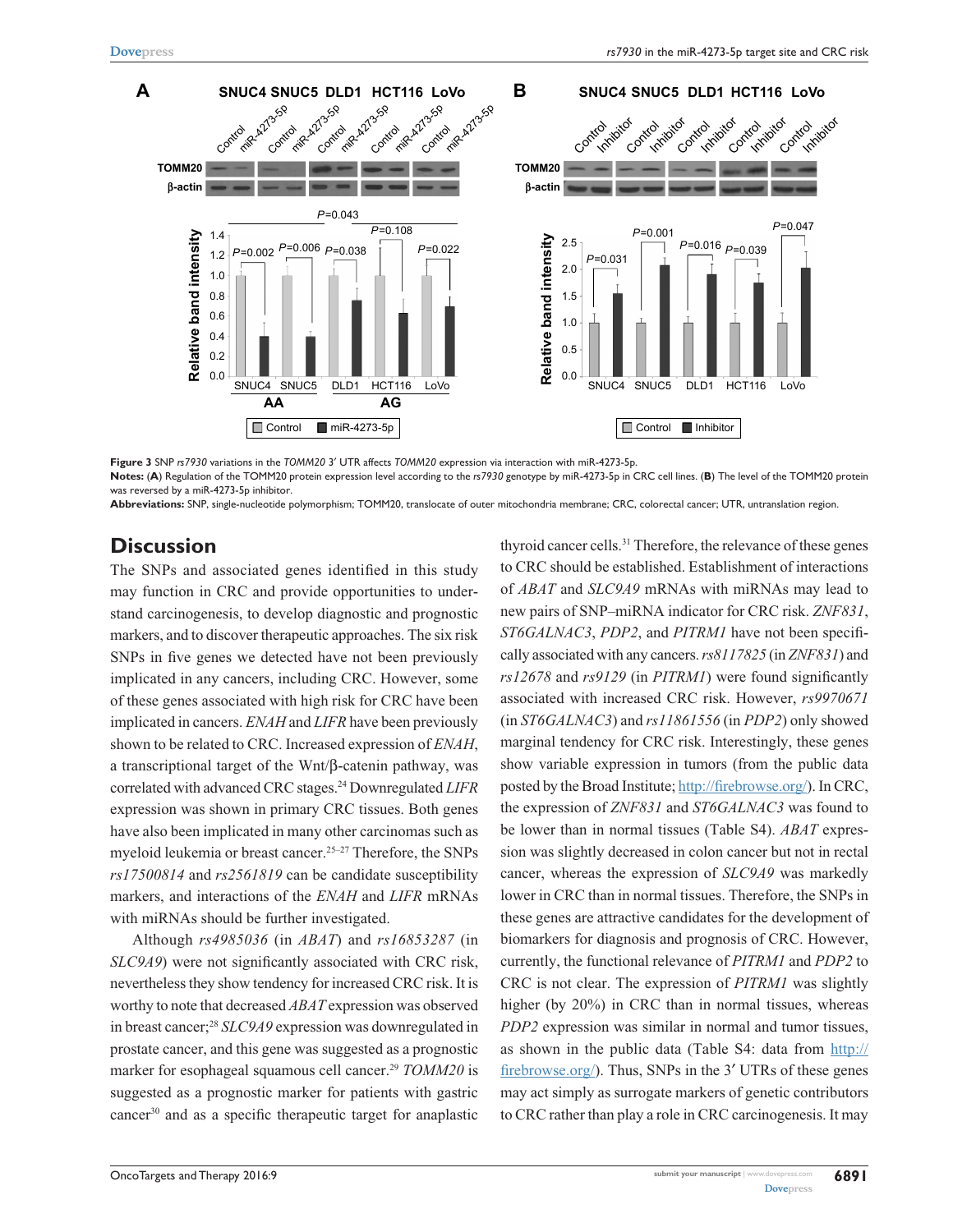

**Figure 3** SNP *rs7930* variations in the *TOMM20* 3′ UTR affects *TOMM20* expression via interaction with miR-4273-5p.

**Notes:** (**A**) Regulation of the TOMM20 protein expression level according to the *rs7930* genotype by miR-4273-5p in CRC cell lines. (**B**) The level of the TOMM20 protein was reversed by a miR-4273-5p inhibitor.

**Abbreviations:** SNP, single-nucleotide polymorphism; TOMM20, translocate of outer mitochondria membrane; CRC, colorectal cancer; UTR, untranslation region.

#### **Discussion**

The SNPs and associated genes identified in this study may function in CRC and provide opportunities to understand carcinogenesis, to develop diagnostic and prognostic markers, and to discover therapeutic approaches. The six risk SNPs in five genes we detected have not been previously implicated in any cancers, including CRC. However, some of these genes associated with high risk for CRC have been implicated in cancers. *ENAH* and *LIFR* have been previously shown to be related to CRC. Increased expression of *ENAH*, a transcriptional target of the Wnt/β-catenin pathway, was correlated with advanced CRC stages.24 Downregulated *LIFR* expression was shown in primary CRC tissues. Both genes have also been implicated in many other carcinomas such as myeloid leukemia or breast cancer.<sup>25-27</sup> Therefore, the SNPs *rs17500814* and *rs2561819* can be candidate susceptibility markers, and interactions of the *ENAH* and *LIFR* mRNAs with miRNAs should be further investigated.

Although *rs4985036* (in *ABAT*) and *rs16853287* (in *SLC9A9*) were not significantly associated with CRC risk, nevertheless they show tendency for increased CRC risk. It is worthy to note that decreased *ABAT* expression was observed in breast cancer;28 *SLC9A9* expression was downregulated in prostate cancer, and this gene was suggested as a prognostic marker for esophageal squamous cell cancer.<sup>29</sup> *TOMM20* is suggested as a prognostic marker for patients with gastric cancer30 and as a specific therapeutic target for anaplastic thyroid cancer cells.31 Therefore, the relevance of these genes to CRC should be established. Establishment of interactions of *ABAT* and *SLC9A9* mRNAs with miRNAs may lead to new pairs of SNP–miRNA indicator for CRC risk. *ZNF831*, *ST6GALNAC3*, *PDP2*, and *PITRM1* have not been specifically associated with any cancers. *rs8117825* (in *ZNF831*) and *rs12678* and *rs9129* (in *PITRM1*) were found significantly associated with increased CRC risk. However, *rs9970671* (in *ST6GALNAC3*) and *rs11861556* (in *PDP2*) only showed marginal tendency for CRC risk. Interestingly, these genes show variable expression in tumors (from the public data posted by the Broad Institute; [http://firebrowse.org/\)](http://firebrowse.org/). In CRC, the expression of *ZNF831* and *ST6GALNAC3* was found to be lower than in normal tissues (Table S4). *ABAT* expression was slightly decreased in colon cancer but not in rectal cancer, whereas the expression of *SLC9A9* was markedly lower in CRC than in normal tissues. Therefore, the SNPs in these genes are attractive candidates for the development of biomarkers for diagnosis and prognosis of CRC. However, currently, the functional relevance of *PITRM1* and *PDP2* to CRC is not clear. The expression of *PITRM1* was slightly higher (by 20%) in CRC than in normal tissues, whereas *PDP2* expression was similar in normal and tumor tissues, as shown in the public data (Table S4: data from [http://](http://firebrowse.org/) [firebrowse.org/](http://firebrowse.org/)). Thus, SNPs in the 3′ UTRs of these genes may act simply as surrogate markers of genetic contributors to CRC rather than play a role in CRC carcinogenesis. It may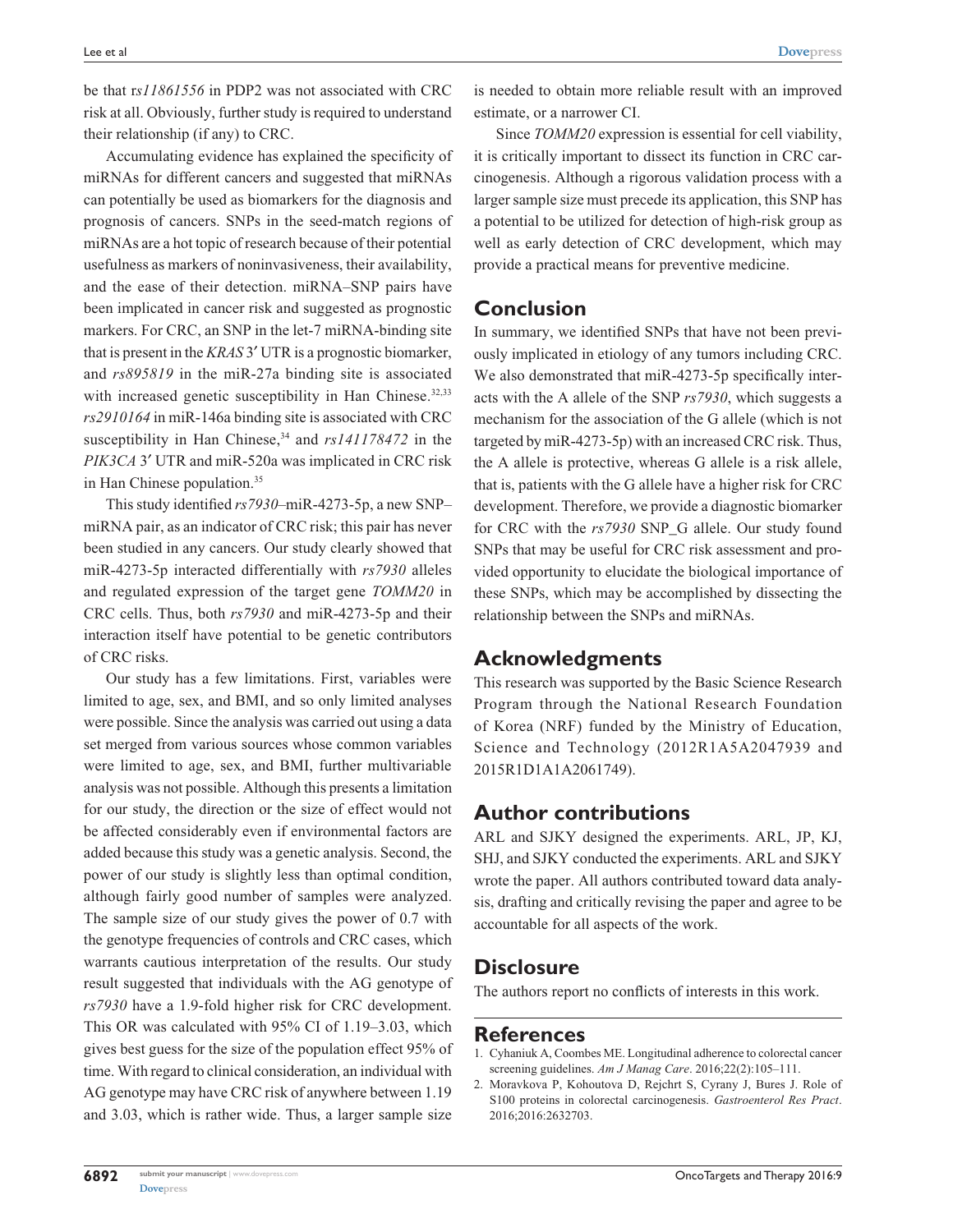be that r*s11861556* in PDP2 was not associated with CRC risk at all. Obviously, further study is required to understand their relationship (if any) to CRC.

Accumulating evidence has explained the specificity of miRNAs for different cancers and suggested that miRNAs can potentially be used as biomarkers for the diagnosis and prognosis of cancers. SNPs in the seed-match regions of miRNAs are a hot topic of research because of their potential usefulness as markers of noninvasiveness, their availability, and the ease of their detection. miRNA–SNP pairs have been implicated in cancer risk and suggested as prognostic markers. For CRC, an SNP in the let-7 miRNA-binding site that is present in the *KRAS* 3′ UTR is a prognostic biomarker, and *rs895819* in the miR-27a binding site is associated with increased genetic susceptibility in Han Chinese.<sup>32,33</sup> *rs2910164* in miR-146a binding site is associated with CRC susceptibility in Han Chinese,<sup>34</sup> and  $rs141178472$  in the *PIK3CA* 3′ UTR and miR-520a was implicated in CRC risk in Han Chinese population.35

This study identified *rs7930*–miR-4273-5p, a new SNP– miRNA pair, as an indicator of CRC risk; this pair has never been studied in any cancers. Our study clearly showed that miR-4273-5p interacted differentially with *rs7930* alleles and regulated expression of the target gene *TOMM20* in CRC cells. Thus, both *rs7930* and miR-4273-5p and their interaction itself have potential to be genetic contributors of CRC risks.

Our study has a few limitations. First, variables were limited to age, sex, and BMI, and so only limited analyses were possible. Since the analysis was carried out using a data set merged from various sources whose common variables were limited to age, sex, and BMI, further multivariable analysis was not possible. Although this presents a limitation for our study, the direction or the size of effect would not be affected considerably even if environmental factors are added because this study was a genetic analysis. Second, the power of our study is slightly less than optimal condition, although fairly good number of samples were analyzed. The sample size of our study gives the power of 0.7 with the genotype frequencies of controls and CRC cases, which warrants cautious interpretation of the results. Our study result suggested that individuals with the AG genotype of *rs7930* have a 1.9-fold higher risk for CRC development. This OR was calculated with 95% CI of 1.19–3.03, which gives best guess for the size of the population effect 95% of time. With regard to clinical consideration, an individual with AG genotype may have CRC risk of anywhere between 1.19 and 3.03, which is rather wide. Thus, a larger sample size

is needed to obtain more reliable result with an improved estimate, or a narrower CI.

Since *TOMM20* expression is essential for cell viability, it is critically important to dissect its function in CRC carcinogenesis. Although a rigorous validation process with a larger sample size must precede its application, this SNP has a potential to be utilized for detection of high-risk group as well as early detection of CRC development, which may provide a practical means for preventive medicine.

#### **Conclusion**

In summary, we identified SNPs that have not been previously implicated in etiology of any tumors including CRC. We also demonstrated that miR-4273-5p specifically interacts with the A allele of the SNP *rs7930*, which suggests a mechanism for the association of the G allele (which is not targeted by miR-4273-5p) with an increased CRC risk. Thus, the A allele is protective, whereas G allele is a risk allele, that is, patients with the G allele have a higher risk for CRC development. Therefore, we provide a diagnostic biomarker for CRC with the *rs7930* SNP\_G allele. Our study found SNPs that may be useful for CRC risk assessment and provided opportunity to elucidate the biological importance of these SNPs, which may be accomplished by dissecting the relationship between the SNPs and miRNAs.

### **Acknowledgments**

This research was supported by the Basic Science Research Program through the National Research Foundation of Korea (NRF) funded by the Ministry of Education, Science and Technology (2012R1A5A2047939 and 2015R1D1A1A2061749).

### **Author contributions**

ARL and SJKY designed the experiments. ARL, JP, KJ, SHJ, and SJKY conducted the experiments. ARL and SJKY wrote the paper. All authors contributed toward data analysis, drafting and critically revising the paper and agree to be accountable for all aspects of the work.

# **Disclosure**

The authors report no conflicts of interests in this work.

#### **References**

- 1. Cyhaniuk A, Coombes ME. Longitudinal adherence to colorectal cancer screening guidelines. *Am J Manag Care*. 2016;22(2):105–111.
- 2. Moravkova P, Kohoutova D, Rejchrt S, Cyrany J, Bures J. Role of S100 proteins in colorectal carcinogenesis. *Gastroenterol Res Pract*. 2016;2016:2632703.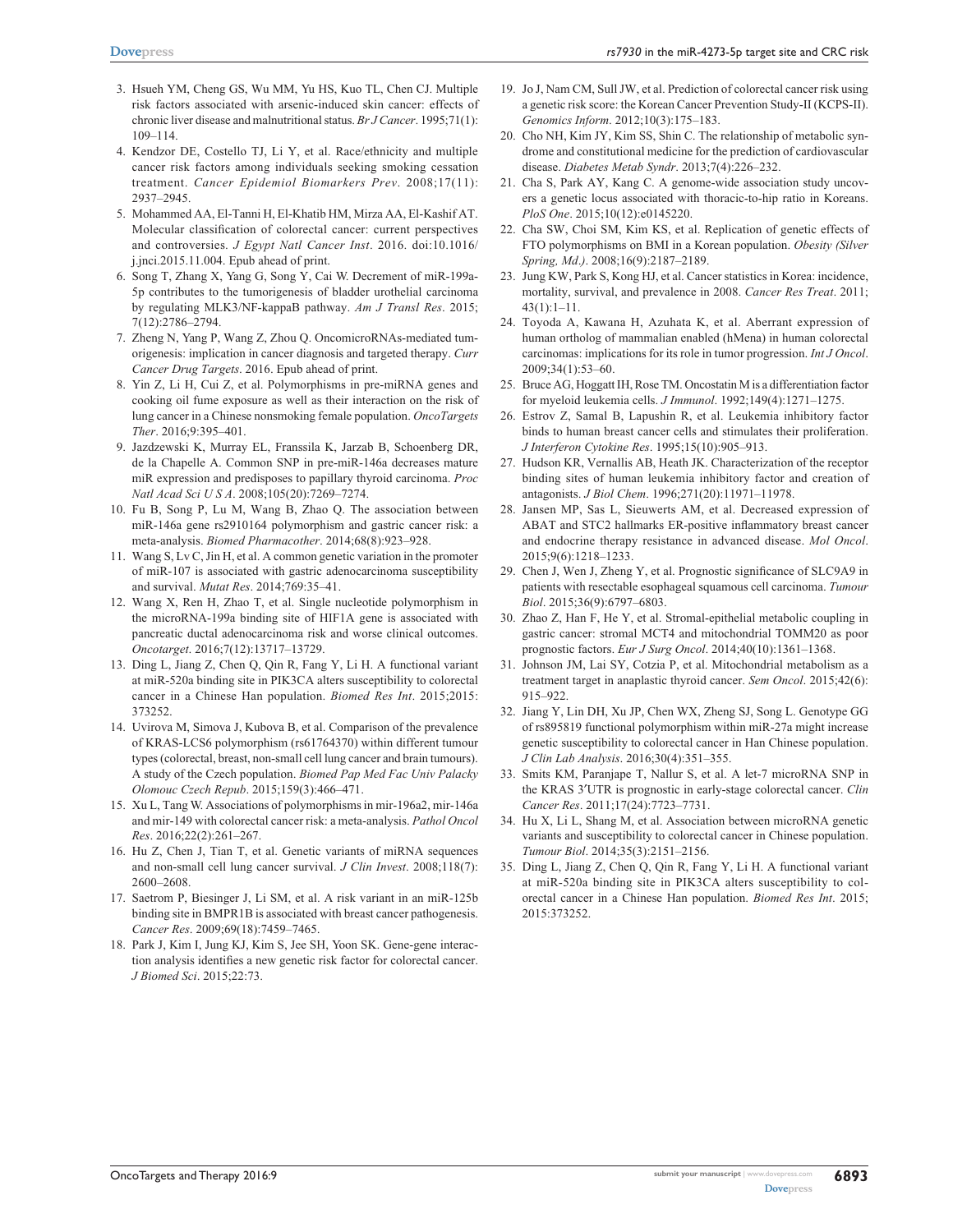- 3. Hsueh YM, Cheng GS, Wu MM, Yu HS, Kuo TL, Chen CJ. Multiple risk factors associated with arsenic-induced skin cancer: effects of chronic liver disease and malnutritional status. *Br J Cancer*. 1995;71(1): 109–114.
- 4. Kendzor DE, Costello TJ, Li Y, et al. Race/ethnicity and multiple cancer risk factors among individuals seeking smoking cessation treatment. *Cancer Epidemiol Biomarkers Prev*. 2008;17(11): 2937–2945.
- 5. Mohammed AA, El-Tanni H, El-Khatib HM, Mirza AA, El-Kashif AT. Molecular classification of colorectal cancer: current perspectives and controversies. *J Egypt Natl Cancer Inst*. 2016. doi:10.1016/ j.jnci.2015.11.004. Epub ahead of print.
- 6. Song T, Zhang X, Yang G, Song Y, Cai W. Decrement of miR-199a-5p contributes to the tumorigenesis of bladder urothelial carcinoma by regulating MLK3/NF-kappaB pathway. *Am J Transl Res*. 2015; 7(12):2786–2794.
- 7. Zheng N, Yang P, Wang Z, Zhou Q. OncomicroRNAs-mediated tumorigenesis: implication in cancer diagnosis and targeted therapy. *Curr Cancer Drug Targets*. 2016. Epub ahead of print.
- 8. Yin Z, Li H, Cui Z, et al. Polymorphisms in pre-miRNA genes and cooking oil fume exposure as well as their interaction on the risk of lung cancer in a Chinese nonsmoking female population. *OncoTargets Ther*. 2016;9:395–401.
- 9. Jazdzewski K, Murray EL, Franssila K, Jarzab B, Schoenberg DR, de la Chapelle A. Common SNP in pre-miR-146a decreases mature miR expression and predisposes to papillary thyroid carcinoma. *Proc Natl Acad Sci U S A*. 2008;105(20):7269–7274.
- 10. Fu B, Song P, Lu M, Wang B, Zhao Q. The association between miR-146a gene rs2910164 polymorphism and gastric cancer risk: a meta-analysis. *Biomed Pharmacother*. 2014;68(8):923–928.
- 11. Wang S, Lv C, Jin H, et al. A common genetic variation in the promoter of miR-107 is associated with gastric adenocarcinoma susceptibility and survival. *Mutat Res*. 2014;769:35–41.
- 12. Wang X, Ren H, Zhao T, et al. Single nucleotide polymorphism in the microRNA-199a binding site of HIF1A gene is associated with pancreatic ductal adenocarcinoma risk and worse clinical outcomes. *Oncotarget*. 2016;7(12):13717–13729.
- 13. Ding L, Jiang Z, Chen Q, Qin R, Fang Y, Li H. A functional variant at miR-520a binding site in PIK3CA alters susceptibility to colorectal cancer in a Chinese Han population. *Biomed Res Int*. 2015;2015: 373252.
- 14. Uvirova M, Simova J, Kubova B, et al. Comparison of the prevalence of KRAS-LCS6 polymorphism (rs61764370) within different tumour types (colorectal, breast, non-small cell lung cancer and brain tumours). A study of the Czech population. *Biomed Pap Med Fac Univ Palacky Olomouc Czech Repub*. 2015;159(3):466–471.
- 15. Xu L, Tang W. Associations of polymorphisms in mir-196a2, mir-146a and mir-149 with colorectal cancer risk: a meta-analysis. *Pathol Oncol Res*. 2016;22(2):261–267.
- 16. Hu Z, Chen J, Tian T, et al. Genetic variants of miRNA sequences and non-small cell lung cancer survival. *J Clin Invest*. 2008;118(7): 2600–2608.
- 17. Saetrom P, Biesinger J, Li SM, et al. A risk variant in an miR-125b binding site in BMPR1B is associated with breast cancer pathogenesis. *Cancer Res*. 2009;69(18):7459–7465.
- 18. Park J, Kim I, Jung KJ, Kim S, Jee SH, Yoon SK. Gene-gene interaction analysis identifies a new genetic risk factor for colorectal cancer. *J Biomed Sci*. 2015;22:73.
- 19. Jo J, Nam CM, Sull JW, et al. Prediction of colorectal cancer risk using a genetic risk score: the Korean Cancer Prevention Study-II (KCPS-II). *Genomics Inform*. 2012;10(3):175–183.
- 20. Cho NH, Kim JY, Kim SS, Shin C. The relationship of metabolic syndrome and constitutional medicine for the prediction of cardiovascular disease. *Diabetes Metab Syndr*. 2013;7(4):226–232.
- 21. Cha S, Park AY, Kang C. A genome-wide association study uncovers a genetic locus associated with thoracic-to-hip ratio in Koreans. *PloS One*. 2015;10(12):e0145220.
- 22. Cha SW, Choi SM, Kim KS, et al. Replication of genetic effects of FTO polymorphisms on BMI in a Korean population. *Obesity (Silver Spring, Md*.*)*. 2008;16(9):2187–2189.
- 23. Jung KW, Park S, Kong HJ, et al. Cancer statistics in Korea: incidence, mortality, survival, and prevalence in 2008. *Cancer Res Treat*. 2011; 43(1):1–11.
- 24. Toyoda A, Kawana H, Azuhata K, et al. Aberrant expression of human ortholog of mammalian enabled (hMena) in human colorectal carcinomas: implications for its role in tumor progression. *Int J Oncol*. 2009;34(1):53–60.
- 25. Bruce AG, Hoggatt IH, Rose TM. Oncostatin M is a differentiation factor for myeloid leukemia cells. *J Immunol*. 1992;149(4):1271–1275.
- 26. Estrov Z, Samal B, Lapushin R, et al. Leukemia inhibitory factor binds to human breast cancer cells and stimulates their proliferation. *J Interferon Cytokine Res*. 1995;15(10):905–913.
- 27. Hudson KR, Vernallis AB, Heath JK. Characterization of the receptor binding sites of human leukemia inhibitory factor and creation of antagonists. *J Biol Chem*. 1996;271(20):11971–11978.
- 28. Jansen MP, Sas L, Sieuwerts AM, et al. Decreased expression of ABAT and STC2 hallmarks ER-positive inflammatory breast cancer and endocrine therapy resistance in advanced disease. *Mol Oncol*. 2015;9(6):1218–1233.
- 29. Chen J, Wen J, Zheng Y, et al. Prognostic significance of SLC9A9 in patients with resectable esophageal squamous cell carcinoma. *Tumour Biol*. 2015;36(9):6797–6803.
- 30. Zhao Z, Han F, He Y, et al. Stromal-epithelial metabolic coupling in gastric cancer: stromal MCT4 and mitochondrial TOMM20 as poor prognostic factors. *Eur J Surg Oncol*. 2014;40(10):1361–1368.
- 31. Johnson JM, Lai SY, Cotzia P, et al. Mitochondrial metabolism as a treatment target in anaplastic thyroid cancer. *Sem Oncol*. 2015;42(6): 915–922.
- 32. Jiang Y, Lin DH, Xu JP, Chen WX, Zheng SJ, Song L. Genotype GG of rs895819 functional polymorphism within miR-27a might increase genetic susceptibility to colorectal cancer in Han Chinese population. *J Clin Lab Analysis*. 2016;30(4):351–355.
- 33. Smits KM, Paranjape T, Nallur S, et al. A let-7 microRNA SNP in the KRAS 3′UTR is prognostic in early-stage colorectal cancer. *Clin Cancer Res*. 2011;17(24):7723–7731.
- 34. Hu X, Li L, Shang M, et al. Association between microRNA genetic variants and susceptibility to colorectal cancer in Chinese population. *Tumour Biol*. 2014;35(3):2151–2156.
- 35. Ding L, Jiang Z, Chen Q, Qin R, Fang Y, Li H. A functional variant at miR-520a binding site in PIK3CA alters susceptibility to colorectal cancer in a Chinese Han population. *Biomed Res Int*. 2015; 2015:373252.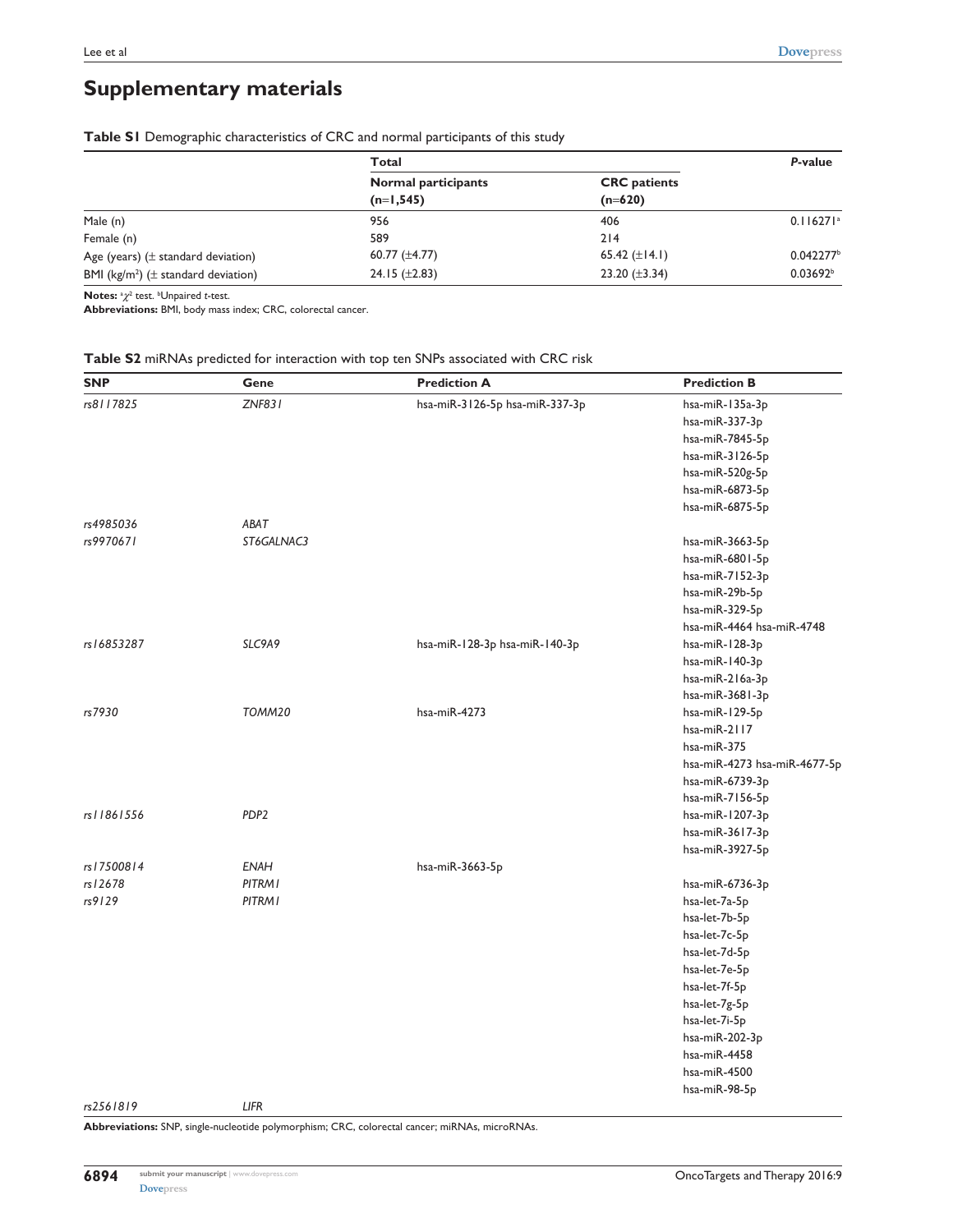# **Supplementary materials**

|                                              | Total                      | P-value             |                         |
|----------------------------------------------|----------------------------|---------------------|-------------------------|
|                                              | <b>Normal participants</b> | <b>CRC</b> patients |                         |
|                                              | $(n=1, 545)$               | $(n=620)$           |                         |
| Male (n)                                     | 956                        | 406                 | $0.116271$ <sup>a</sup> |
| Female (n)                                   | 589                        | 214                 |                         |
| Age (years) $(\pm$ standard deviation)       | 60.77 $(\pm 4.77)$         | 65.42 $(\pm 14.1)$  | 0.042277                |
| BMI ( $kg/m^2$ ) ( $\pm$ standard deviation) | 24.15 $(\pm 2.83)$         | 23.20 $(\pm 3.34)$  | 0.03692 <sup>b</sup>    |
|                                              |                            |                     |                         |

**Table S1** Demographic characteristics of CRC and normal participants of this study

**Notes:** <sup>a</sup> $χ$ <sup>2</sup> test. <sup>b</sup>Unpaired *t*-test.

**Abbreviations:** BMI, body mass index; CRC, colorectal cancer.

| <b>SNP</b> | Gene             | <b>Prediction A</b>            | <b>Prediction B</b>          |
|------------|------------------|--------------------------------|------------------------------|
| rs8117825  | <b>ZNF831</b>    | hsa-miR-3126-5p hsa-miR-337-3p | hsa-miR-135a-3p              |
|            |                  |                                | hsa-miR-337-3p               |
|            |                  |                                | hsa-miR-7845-5p              |
|            |                  |                                | hsa-miR-3126-5p              |
|            |                  |                                | hsa-miR-520g-5p              |
|            |                  |                                | hsa-miR-6873-5p              |
|            |                  |                                | hsa-miR-6875-5p              |
| rs4985036  | ABAT             |                                |                              |
| rs9970671  | ST6GALNAC3       |                                | hsa-miR-3663-5p              |
|            |                  |                                | hsa-miR-6801-5p              |
|            |                  |                                | hsa-miR-7152-3p              |
|            |                  |                                | hsa-miR-29b-5p               |
|            |                  |                                | hsa-miR-329-5p               |
|            |                  |                                | hsa-miR-4464 hsa-miR-4748    |
| rs16853287 | SLC9A9           | hsa-miR-128-3p hsa-miR-140-3p  | hsa-miR-128-3p               |
|            |                  |                                | hsa-miR-140-3p               |
|            |                  |                                | hsa-miR-216a-3p              |
|            |                  |                                | hsa-miR-3681-3p              |
| rs7930     | TOMM20           | hsa-miR-4273                   | hsa-miR-129-5p               |
|            |                  |                                | hsa-miR-2117                 |
|            |                  |                                | hsa-miR-375                  |
|            |                  |                                | hsa-miR-4273 hsa-miR-4677-5p |
|            |                  |                                | hsa-miR-6739-3p              |
|            |                  |                                | hsa-miR-7156-5p              |
| rs11861556 | PDP <sub>2</sub> |                                | hsa-miR-1207-3p              |
|            |                  |                                | hsa-miR-3617-3p              |
|            |                  |                                | hsa-miR-3927-5p              |
| rs17500814 | <b>ENAH</b>      | hsa-miR-3663-5p                |                              |
| rs 12678   | PITRM I          |                                | hsa-miR-6736-3p              |
| rs9129     | <b>PITRMI</b>    |                                | hsa-let-7a-5p                |
|            |                  |                                | hsa-let-7b-5p                |
|            |                  |                                | hsa-let-7c-5p                |
|            |                  |                                | hsa-let-7d-5p                |
|            |                  |                                | hsa-let-7e-5p                |
|            |                  |                                | hsa-let-7f-5p                |
|            |                  |                                | hsa-let-7g-5p                |
|            |                  |                                | hsa-let-7i-5p                |
|            |                  |                                | hsa-miR-202-3p               |
|            |                  |                                | hsa-miR-4458                 |
|            |                  |                                | hsa-miR-4500                 |
|            |                  |                                | hsa-miR-98-5p                |
| rs2561819  | <b>LIFR</b>      |                                |                              |

**Abbreviations:** SNP, single-nucleotide polymorphism; CRC, colorectal cancer; miRNAs, microRNAs.